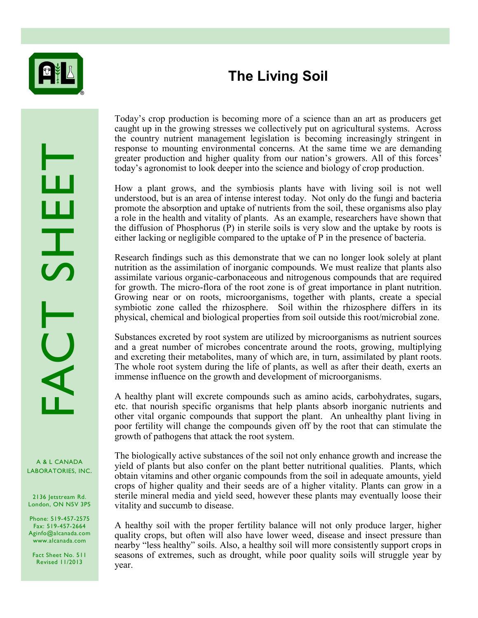

## **The Living Soil**

RACANADA<br>LABORATORIES, INC.

A & L CANADA

2136 Jetstream Rd. London, ON N5V 3P5

Phone: 519-457-2575 Fax: 519-457-2664 Aginfo@alcanada.com www.alcanada.com

Fact Sheet No. 511 Revised 11/2013

Today's crop production is becoming more of a science than an art as producers get caught up in the growing stresses we collectively put on agricultural systems. Across the country nutrient management legislation is becoming increasingly stringent in response to mounting environmental concerns. At the same time we are demanding greater production and higher quality from our nation's growers. All of this forces' today's agronomist to look deeper into the science and biology of crop production.

How a plant grows, and the symbiosis plants have with living soil is not well understood, but is an area of intense interest today. Not only do the fungi and bacteria promote the absorption and uptake of nutrients from the soil, these organisms also play a role in the health and vitality of plants. As an example, researchers have shown that the diffusion of Phosphorus (P) in sterile soils is very slow and the uptake by roots is either lacking or negligible compared to the uptake of P in the presence of bacteria.

Research findings such as this demonstrate that we can no longer look solely at plant nutrition as the assimilation of inorganic compounds. We must realize that plants also assimilate various organic-carbonaceous and nitrogenous compounds that are required for growth. The micro-flora of the root zone is of great importance in plant nutrition. Growing near or on roots, microorganisms, together with plants, create a special symbiotic zone called the rhizosphere. Soil within the rhizosphere differs in its physical, chemical and biological properties from soil outside this root/microbial zone.

Substances excreted by root system are utilized by microorganisms as nutrient sources and a great number of microbes concentrate around the roots, growing, multiplying and excreting their metabolites, many of which are, in turn, assimilated by plant roots. The whole root system during the life of plants, as well as after their death, exerts an immense influence on the growth and development of microorganisms.

A healthy plant will excrete compounds such as amino acids, carbohydrates, sugars, etc. that nourish specific organisms that help plants absorb inorganic nutrients and other vital organic compounds that support the plant. An unhealthy plant living in poor fertility will change the compounds given off by the root that can stimulate the growth of pathogens that attack the root system.

The biologically active substances of the soil not only enhance growth and increase the yield of plants but also confer on the plant better nutritional qualities. Plants, which obtain vitamins and other organic compounds from the soil in adequate amounts, yield crops of higher quality and their seeds are of a higher vitality. Plants can grow in a sterile mineral media and yield seed, however these plants may eventually loose their vitality and succumb to disease.

A healthy soil with the proper fertility balance will not only produce larger, higher quality crops, but often will also have lower weed, disease and insect pressure than nearby "less healthy" soils. Also, a healthy soil will more consistently support crops in seasons of extremes, such as drought, while poor quality soils will struggle year by year.